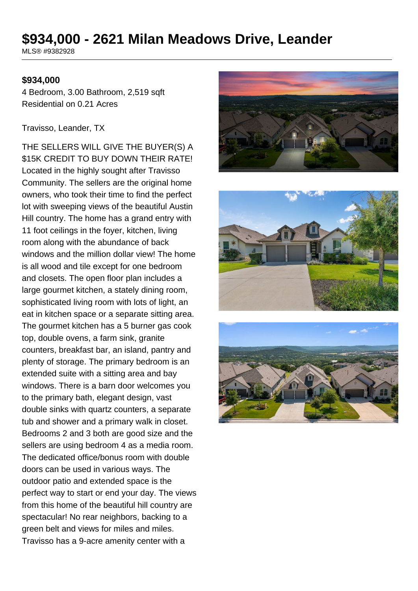# **\$934,000 - 2621 Milan Meadows Drive, Leander**

MLS® #9382928

#### **\$934,000**

4 Bedroom, 3.00 Bathroom, 2,519 sqft Residential on 0.21 Acres

#### Travisso, Leander, TX

THE SELLERS WILL GIVE THE BUYER(S) A \$15K CREDIT TO BUY DOWN THEIR RATE! Located in the highly sought after Travisso Community. The sellers are the original home owners, who took their time to find the perfect lot with sweeping views of the beautiful Austin Hill country. The home has a grand entry with 11 foot ceilings in the foyer, kitchen, living room along with the abundance of back windows and the million dollar view! The home is all wood and tile except for one bedroom and closets. The open floor plan includes a large gourmet kitchen, a stately dining room, sophisticated living room with lots of light, an eat in kitchen space or a separate sitting area. The gourmet kitchen has a 5 burner gas cook top, double ovens, a farm sink, granite counters, breakfast bar, an island, pantry and plenty of storage. The primary bedroom is an extended suite with a sitting area and bay windows. There is a barn door welcomes you to the primary bath, elegant design, vast double sinks with quartz counters, a separate tub and shower and a primary walk in closet. Bedrooms 2 and 3 both are good size and the sellers are using bedroom 4 as a media room. The dedicated office/bonus room with double doors can be used in various ways. The outdoor patio and extended space is the perfect way to start or end your day. The views from this home of the beautiful hill country are spectacular! No rear neighbors, backing to a green belt and views for miles and miles. Travisso has a 9-acre amenity center with a





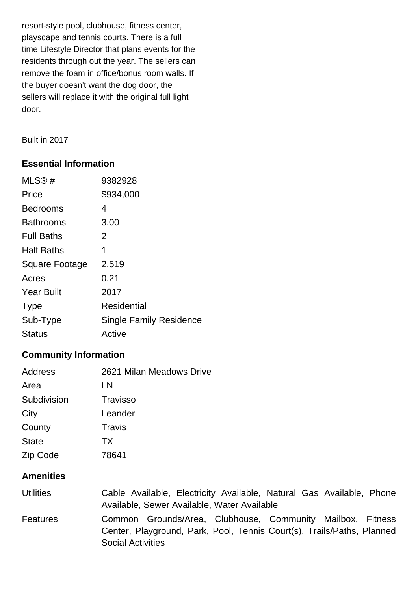resort-style pool, clubhouse, fitness center, playscape and tennis courts. There is a full time Lifestyle Director that plans events for the residents through out the year. The sellers can remove the foam in office/bonus room walls. If the buyer doesn't want the dog door, the sellers will replace it with the original full light door.

Built in 2017

## **Essential Information**

| MLS@#                 | 9382928                        |
|-----------------------|--------------------------------|
| Price                 | \$934,000                      |
| <b>Bedrooms</b>       | 4                              |
| <b>Bathrooms</b>      | 3.00                           |
| <b>Full Baths</b>     | 2                              |
| <b>Half Baths</b>     | 1                              |
| <b>Square Footage</b> | 2,519                          |
| Acres                 | 0.21                           |
| <b>Year Built</b>     | 2017                           |
| <b>Type</b>           | Residential                    |
| Sub-Type              | <b>Single Family Residence</b> |
| <b>Status</b>         | Active                         |

# **Community Information**

| Address      | 2621 Milan Meadows Drive |
|--------------|--------------------------|
| Area         | LN                       |
| Subdivision  | <b>Travisso</b>          |
| City         | Leander                  |
| County       | Travis                   |
| <b>State</b> | TX                       |
| Zip Code     | 78641                    |
|              |                          |

# **Amenities**

| <b>Utilities</b> |                          |  | Cable Available, Electricity Available, Natural Gas Available, Phone   |  |  |
|------------------|--------------------------|--|------------------------------------------------------------------------|--|--|
|                  |                          |  | Available, Sewer Available, Water Available                            |  |  |
| <b>Features</b>  |                          |  | Common Grounds/Area, Clubhouse, Community Mailbox, Fitness             |  |  |
|                  |                          |  | Center, Playground, Park, Pool, Tennis Court(s), Trails/Paths, Planned |  |  |
|                  | <b>Social Activities</b> |  |                                                                        |  |  |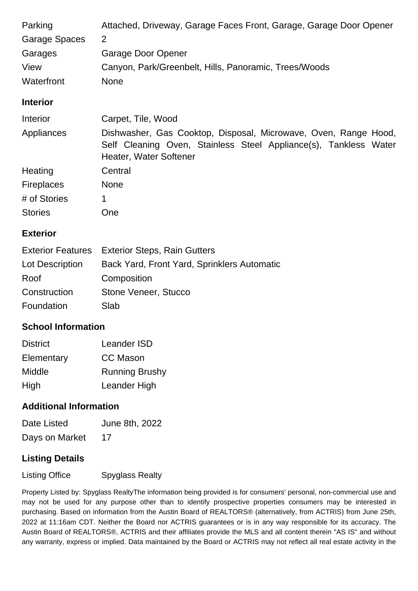| Attached, Driveway, Garage Faces Front, Garage, Garage Door Opener                                                                                            |
|---------------------------------------------------------------------------------------------------------------------------------------------------------------|
| $\overline{2}$                                                                                                                                                |
| Garage Door Opener                                                                                                                                            |
| Canyon, Park/Greenbelt, Hills, Panoramic, Trees/Woods                                                                                                         |
| <b>None</b>                                                                                                                                                   |
|                                                                                                                                                               |
| Carpet, Tile, Wood                                                                                                                                            |
| Dishwasher, Gas Cooktop, Disposal, Microwave, Oven, Range Hood,<br>Self Cleaning Oven, Stainless Steel Appliance(s), Tankless Water<br>Heater, Water Softener |
| Central                                                                                                                                                       |
| <b>None</b>                                                                                                                                                   |
| 1                                                                                                                                                             |
| One                                                                                                                                                           |
|                                                                                                                                                               |

## **Exterior**

| <b>Exterior Features</b> Exterior Steps, Rain Gutters |
|-------------------------------------------------------|
| Back Yard, Front Yard, Sprinklers Automatic           |
| Composition                                           |
| Stone Veneer, Stucco                                  |
| Slab                                                  |
|                                                       |

## **School Information**

| <b>District</b> | Leander ISD           |
|-----------------|-----------------------|
| Elementary      | <b>CC Mason</b>       |
| Middle          | <b>Running Brushy</b> |
| High            | Leander High          |

## **Additional Information**

| Date Listed    | June 8th, 2022 |
|----------------|----------------|
| Days on Market | 17             |

# **Listing Details**

Listing Office Spyglass Realty

Property Listed by: Spyglass RealtyThe information being provided is for consumers' personal, non-commercial use and may not be used for any purpose other than to identify prospective properties consumers may be interested in purchasing. Based on information from the Austin Board of REALTORS® (alternatively, from ACTRIS) from June 25th, 2022 at 11:16am CDT. Neither the Board nor ACTRIS guarantees or is in any way responsible for its accuracy. The Austin Board of REALTORS®, ACTRIS and their affiliates provide the MLS and all content therein "AS IS" and without any warranty, express or implied. Data maintained by the Board or ACTRIS may not reflect all real estate activity in the